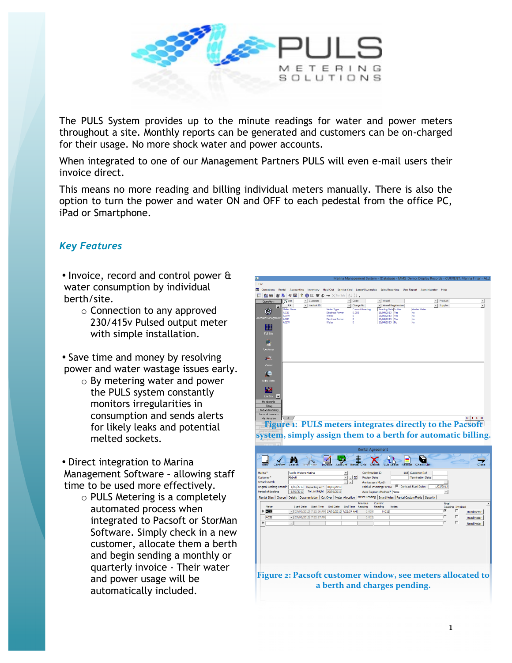

The PULS System provides up to the minute readings for water and power meters throughout a site. Monthly reports can be generated and customers can be on-charged for their usage. No more shock water and power accounts.

When integrated to one of our Management Partners PULS will even e-mail users their invoice direct.

This means no more reading and billing individual meters manually. There is also the option to turn the power and water ON and OFF to each pedestal from the office PC, iPad or Smartphone.

## *Key Features*

• Invoice, record and control power & water consumption by individual berth/site.

> o Connection to any approved 230/415v Pulsed output meter with simple installation.

• Save time and money by resolving power and water wastage issues early.

> o By metering water and power the PULS system constantly monitors irregularities in consumption and sends alerts for likely leaks and potential melted sockets.

• Direct integration to Marina Management Software – allowing staff time to be used more effectively.

> o PULS Metering is a completely automated process when integrated to Pacsoft or StorMan Software. Simply check in a new customer, allocate them a berth and begin sending a monthly or quarterly invoice - Their water and power usage will be automatically included.



**Figure 1: PULS meters integrates directly to the Pacsoft system, simply assign them to a berth for automatic billing.**

| Rental Agreement                                                                                                       |                                                                                                                                                                                                                                                  |                                                          |                                                                                                |                                                                                                           |                                                                                           |  |  |
|------------------------------------------------------------------------------------------------------------------------|--------------------------------------------------------------------------------------------------------------------------------------------------------------------------------------------------------------------------------------------------|----------------------------------------------------------|------------------------------------------------------------------------------------------------|-----------------------------------------------------------------------------------------------------------|-------------------------------------------------------------------------------------------|--|--|
| Confirm                                                                                                                | Z<br>Search<br>Invoice<br>Terminate                                                                                                                                                                                                              | ntal Gric                                                |                                                                                                | Check List<br>Receipt                                                                                     | Close                                                                                     |  |  |
| Marina*<br>Customer*<br><b>Vessel Search</b><br>Original Booking Period*<br>Period of Booking<br>Rental Sites   Charge | Pacific Waters Marina<br>Abbott<br>1/03/2013<br>Departing on*<br>30/06/2013<br>1/03/2013<br>To Last Night<br>30/06/2013<br>Details   Documentation   Cut Over   Meter Allocation   Meter Reading   Smart Notes   Rental Custom Fields   Security | 니모<br>$\ddot{}$<br><b>Review Date</b>                    | Confirmation ID<br>Anniversary Month<br>Hold All Invoicing For RA<br>Auto Payment Method* None | 118 Customer Ref<br><b>Termination Date</b><br><b>88</b> Contract Start Date:<br>1/03/2013<br>$\!\star\!$ |                                                                                           |  |  |
| Meter<br>$\triangleright$ $A02E$<br>A02E<br>*                                                                          | <b>End Date</b><br><b>Start Date</b><br><b>Start Time</b><br>27/03/2013 7:22:36 AM 27/03/2013 7:22:57 AM<br>· 27/03/2013 7:22:57 AM<br>$\bullet$                                                                                                 | <b>Previous</b><br>End Time<br>Reading<br>0.009<br>0.012 | Current<br>Reading<br><b>Notes</b><br>0.012                                                    | Final<br>⊽<br>г                                                                                           | Reading Invoiced<br><b>Read Meter</b><br>г<br><b>Read Meter</b><br>г<br><b>Read Meter</b> |  |  |
|                                                                                                                        | Figure 2: Pacsoft customer window, see meters allocated to                                                                                                                                                                                       |                                                          | a berth and charges pending.                                                                   |                                                                                                           |                                                                                           |  |  |